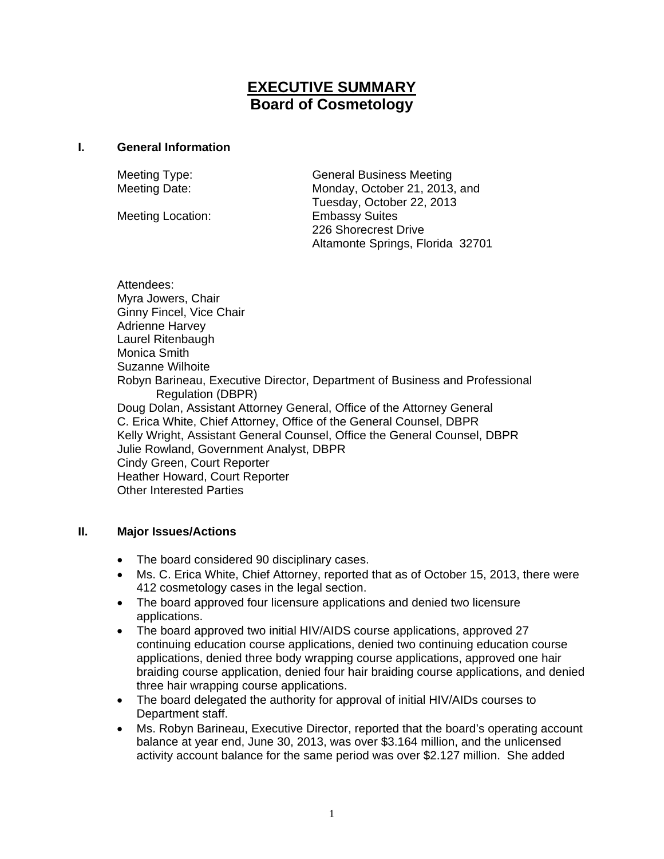# **EXECUTIVE SUMMARY Board of Cosmetology**

### **I. General Information**

Meeting Location: Embassy Suites

Meeting Type: General Business Meeting Meeting Date: Monday, October 21, 2013, and Tuesday, October 22, 2013 226 Shorecrest Drive Altamonte Springs, Florida 32701

Attendees: Myra Jowers, Chair Ginny Fincel, Vice Chair Adrienne Harvey Laurel Ritenbaugh Monica Smith Suzanne Wilhoite Robyn Barineau, Executive Director, Department of Business and Professional Regulation (DBPR) Doug Dolan, Assistant Attorney General, Office of the Attorney General C. Erica White, Chief Attorney, Office of the General Counsel, DBPR Kelly Wright, Assistant General Counsel, Office the General Counsel, DBPR Julie Rowland, Government Analyst, DBPR Cindy Green, Court Reporter Heather Howard, Court Reporter Other Interested Parties

# **II. Major Issues/Actions**

- The board considered 90 disciplinary cases.
- Ms. C. Erica White, Chief Attorney, reported that as of October 15, 2013, there were 412 cosmetology cases in the legal section.
- The board approved four licensure applications and denied two licensure applications.
- The board approved two initial HIV/AIDS course applications, approved 27 continuing education course applications, denied two continuing education course applications, denied three body wrapping course applications, approved one hair braiding course application, denied four hair braiding course applications, and denied three hair wrapping course applications.
- The board delegated the authority for approval of initial HIV/AIDs courses to Department staff.
- Ms. Robyn Barineau, Executive Director, reported that the board's operating account balance at year end, June 30, 2013, was over \$3.164 million, and the unlicensed activity account balance for the same period was over \$2.127 million. She added